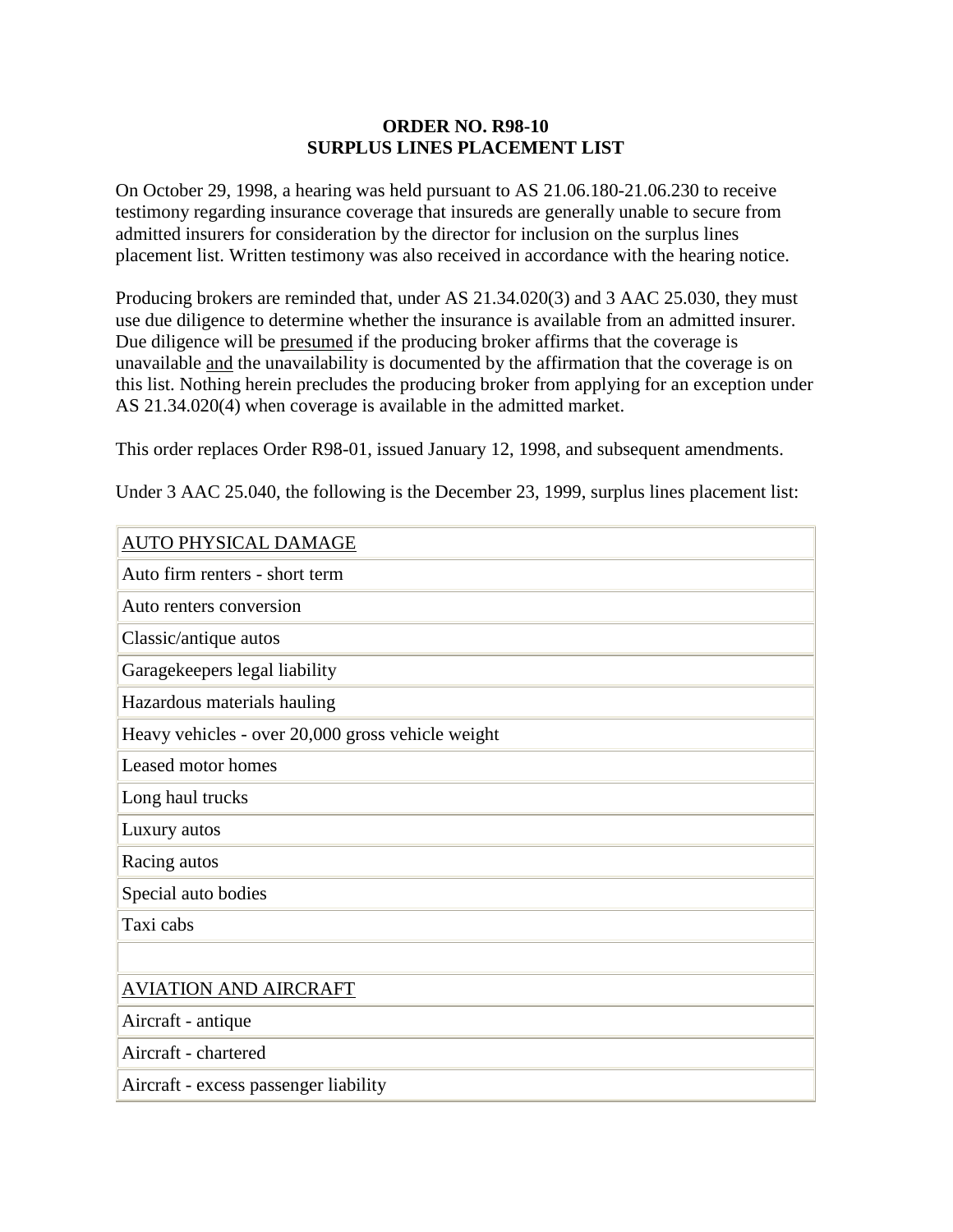### **ORDER NO. R98-10 SURPLUS LINES PLACEMENT LIST**

On October 29, 1998, a hearing was held pursuant to AS 21.06.180-21.06.230 to receive testimony regarding insurance coverage that insureds are generally unable to secure from admitted insurers for consideration by the director for inclusion on the surplus lines placement list. Written testimony was also received in accordance with the hearing notice.

Producing brokers are reminded that, under AS 21.34.020(3) and 3 AAC 25.030, they must use due diligence to determine whether the insurance is available from an admitted insurer. Due diligence will be presumed if the producing broker affirms that the coverage is unavailable and the unavailability is documented by the affirmation that the coverage is on this list. Nothing herein precludes the producing broker from applying for an exception under AS 21.34.020(4) when coverage is available in the admitted market.

This order replaces Order R98-01, issued January 12, 1998, and subsequent amendments.

Under 3 AAC 25.040, the following is the December 23, 1999, surplus lines placement list:

| AUTO PHYSICAL DAMAGE                              |
|---------------------------------------------------|
| Auto firm renters - short term                    |
| Auto renters conversion                           |
| Classic/antique autos                             |
| Garagekeepers legal liability                     |
| Hazardous materials hauling                       |
| Heavy vehicles - over 20,000 gross vehicle weight |
| Leased motor homes                                |
| Long haul trucks                                  |
| Luxury autos                                      |
| Racing autos                                      |
| Special auto bodies                               |
| Taxi cabs                                         |
|                                                   |
| <b>AVIATION AND AIRCRAFT</b>                      |
| Aircraft - antique                                |
| Aircraft - chartered                              |
| Aircraft - excess passenger liability             |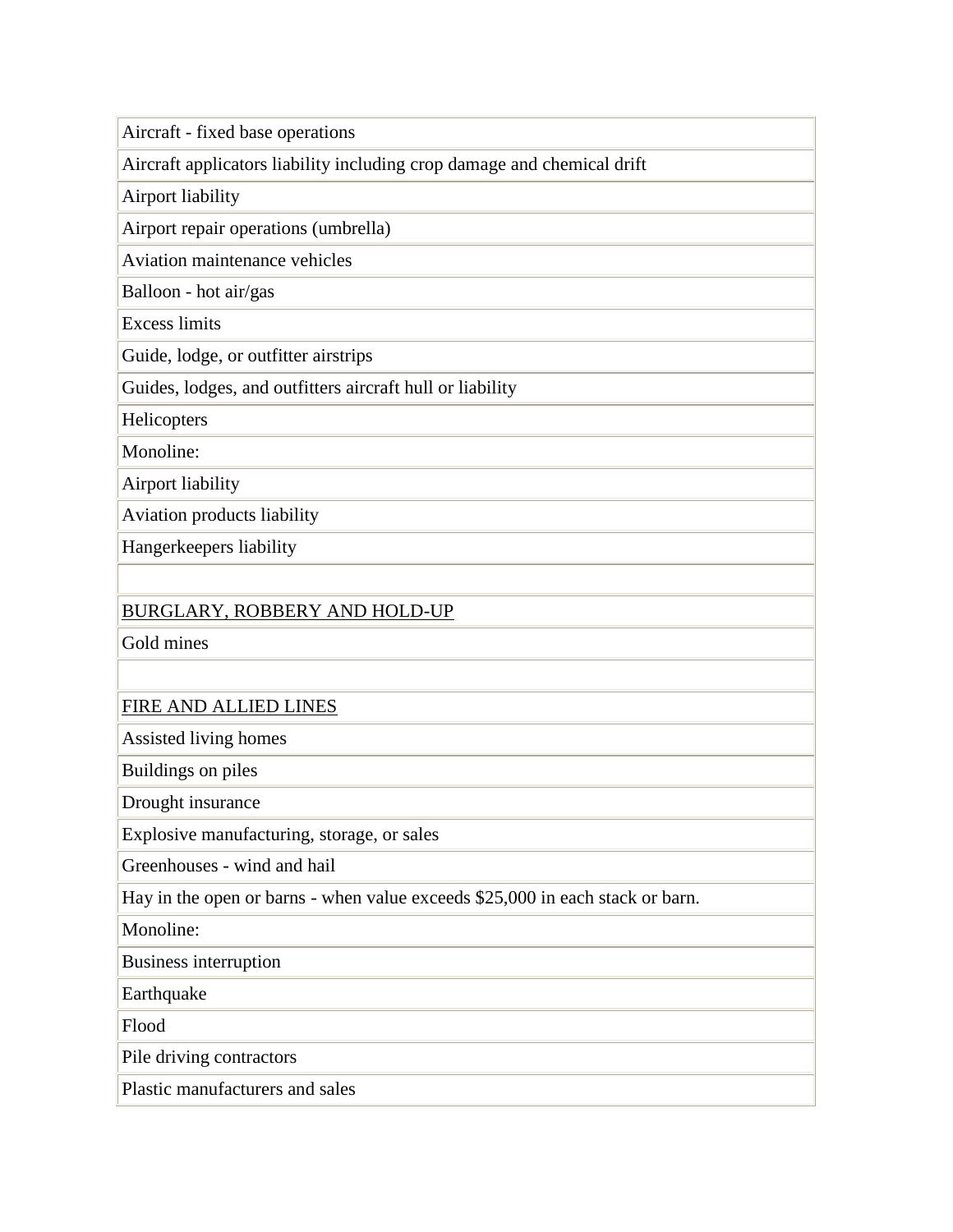Aircraft - fixed base operations

Aircraft applicators liability including crop damage and chemical drift

Airport liability

Airport repair operations (umbrella)

Aviation maintenance vehicles

Balloon - hot air/gas

Excess limits

Guide, lodge, or outfitter airstrips

Guides, lodges, and outfitters aircraft hull or liability

**Helicopters** 

Monoline:

Airport liability

Aviation products liability

Hangerkeepers liability

## BURGLARY, ROBBERY AND HOLD-UP

Gold mines

### FIRE AND ALLIED LINES

Assisted living homes

Buildings on piles

Drought insurance

Explosive manufacturing, storage, or sales

Greenhouses - wind and hail

Hay in the open or barns - when value exceeds \$25,000 in each stack or barn.

Monoline:

Business interruption

Earthquake

Flood

Pile driving contractors

Plastic manufacturers and sales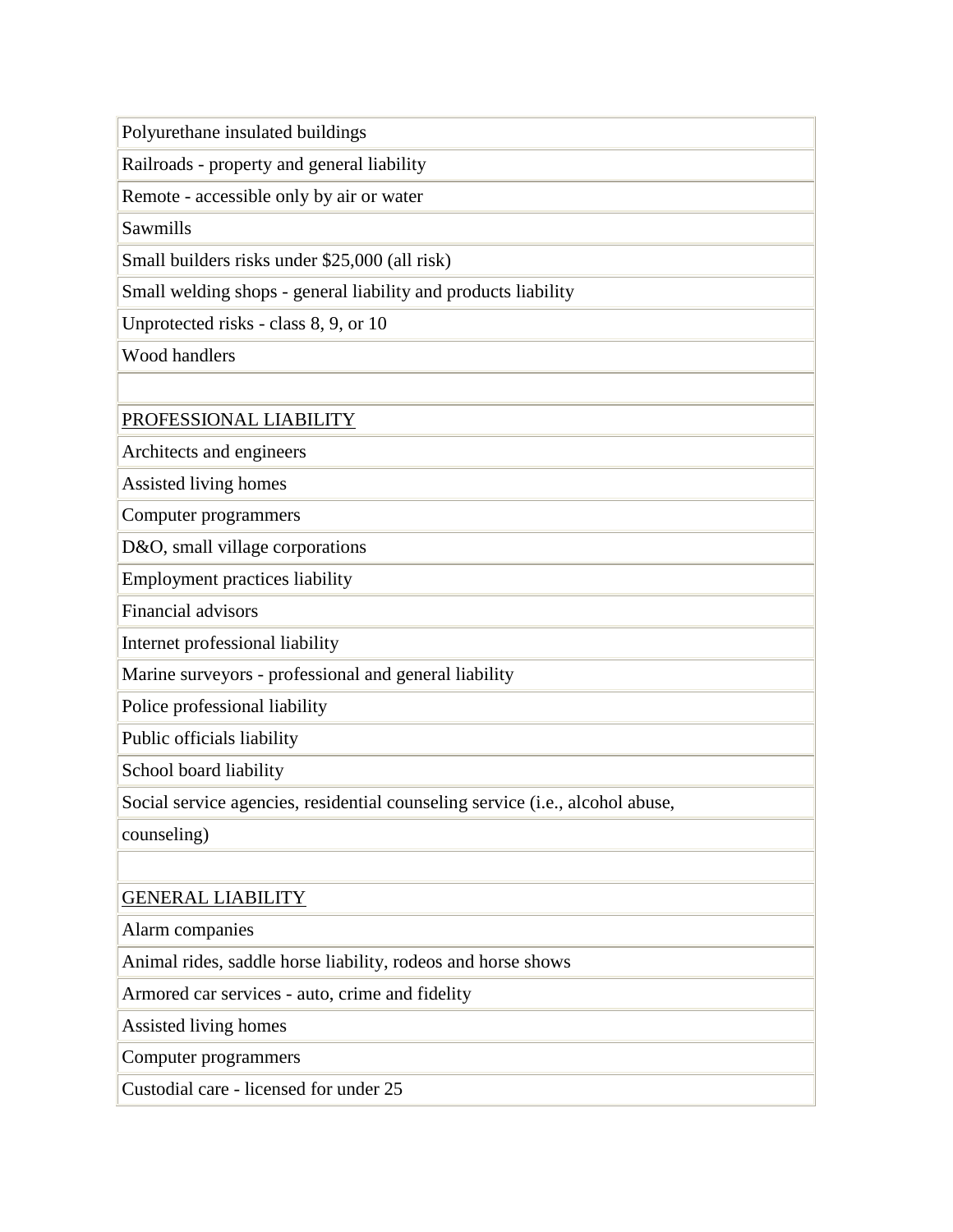Polyurethane insulated buildings

Railroads - property and general liability

Remote - accessible only by air or water

Sawmills

Small builders risks under \$25,000 (all risk)

Small welding shops - general liability and products liability

Unprotected risks - class 8, 9, or 10

Wood handlers

PROFESSIONAL LIABILITY

Architects and engineers

Assisted living homes

Computer programmers

D&O, small village corporations

Employment practices liability

Financial advisors

Internet professional liability

Marine surveyors - professional and general liability

Police professional liability

Public officials liability

School board liability

Social service agencies, residential counseling service (i.e., alcohol abuse,

counseling)

# GENERAL LIABILITY

Alarm companies

Animal rides, saddle horse liability, rodeos and horse shows

Armored car services - auto, crime and fidelity

Assisted living homes

Computer programmers

Custodial care - licensed for under 25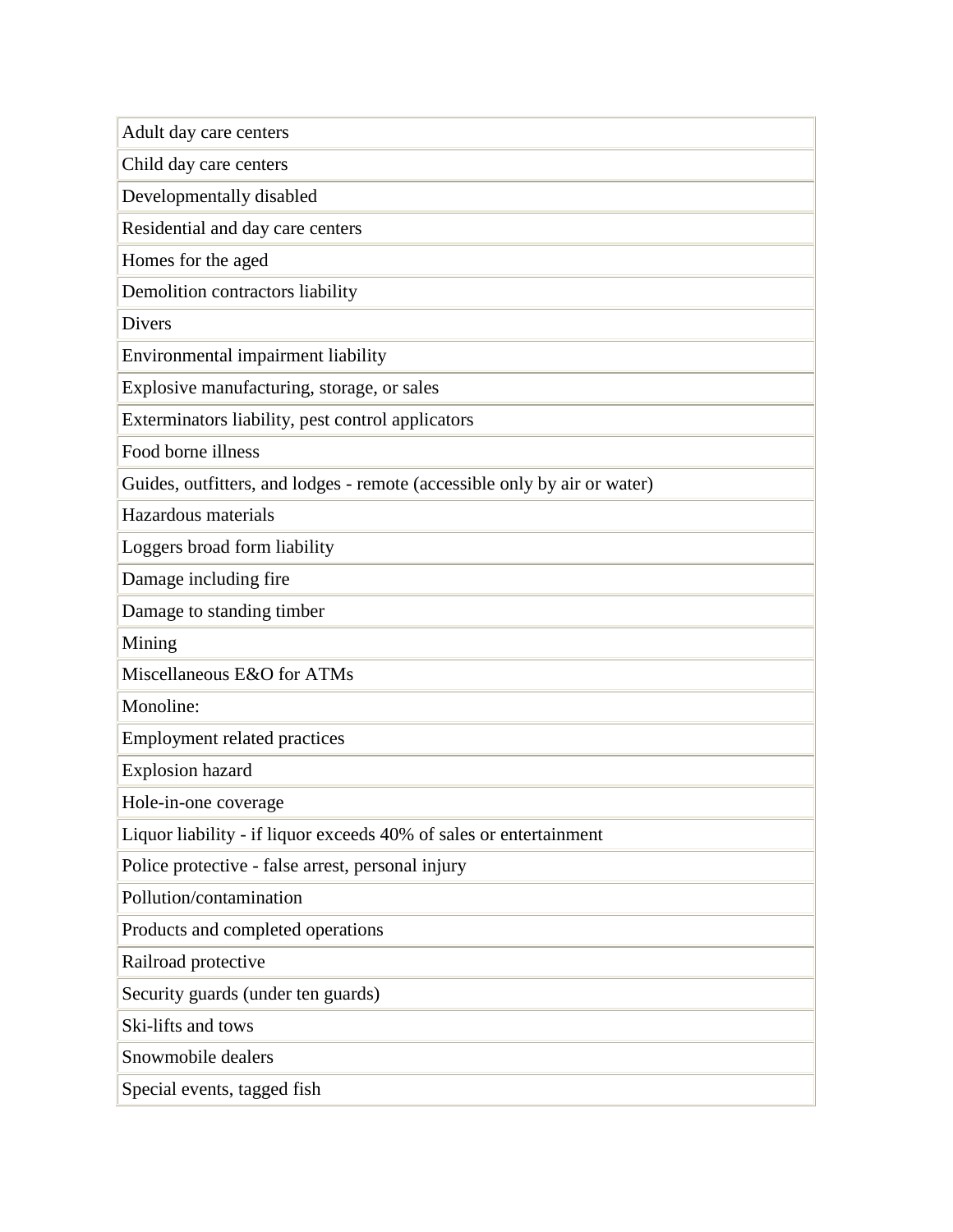Adult day care centers Child day care centers Developmentally disabled Residential and day care centers Homes for the aged Demolition contractors liability Divers Environmental impairment liability Explosive manufacturing, storage, or sales Exterminators liability, pest control applicators Food borne illness Guides, outfitters, and lodges - remote (accessible only by air or water) Hazardous materials Loggers broad form liability Damage including fire Damage to standing timber Mining Miscellaneous E&O for ATMs Monoline: Employment related practices Explosion hazard Hole-in-one coverage Liquor liability - if liquor exceeds 40% of sales or entertainment Police protective - false arrest, personal injury Pollution/contamination Products and completed operations Railroad protective Security guards (under ten guards) Ski-lifts and tows Snowmobile dealers Special events, tagged fish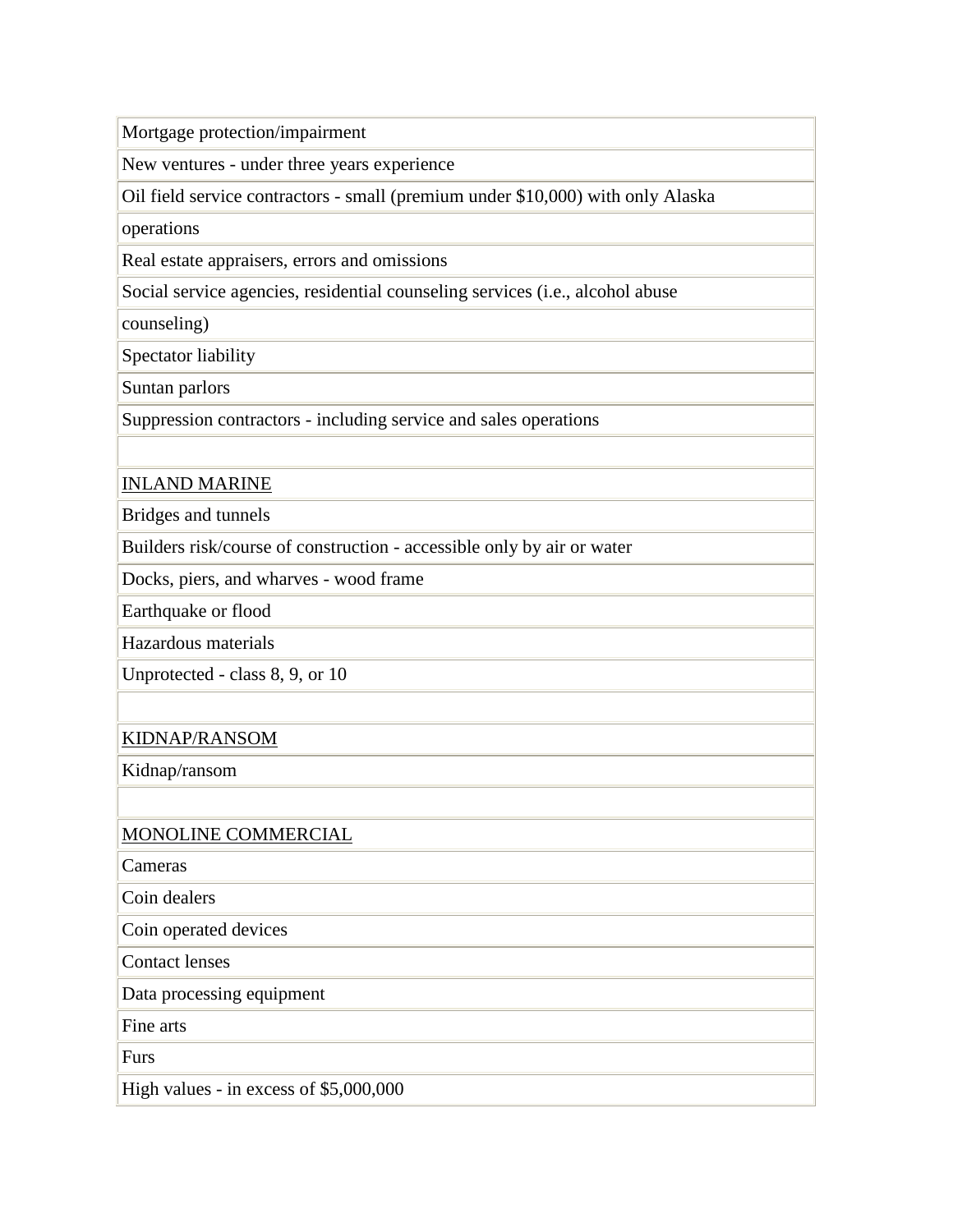Mortgage protection/impairment

New ventures - under three years experience

Oil field service contractors - small (premium under \$10,000) with only Alaska

operations

Real estate appraisers, errors and omissions

Social service agencies, residential counseling services (i.e., alcohol abuse

counseling)

Spectator liability

Suntan parlors

Suppression contractors - including service and sales operations

## INLAND MARINE

Bridges and tunnels

Builders risk/course of construction - accessible only by air or water

Docks, piers, and wharves - wood frame

Earthquake or flood

Hazardous materials

Unprotected - class 8, 9, or 10

### KIDNAP/RANSOM

Kidnap/ransom

### MONOLINE COMMERCIAL

Cameras

Coin dealers

Coin operated devices

Contact lenses

Data processing equipment

Fine arts

Furs

High values - in excess of \$5,000,000